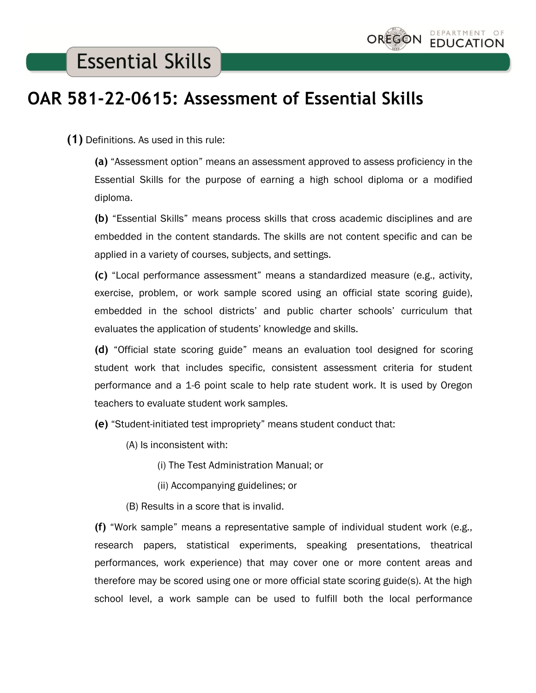## **Essential Skills**

## **OAR 581-22-0615: Assessment of Essential Skills**

 **(1)** Definitions. As used in this rule:

**(a)** "Assessment option" means an assessment approved to assess proficiency in the Essential Skills for the purpose of earning a high school diploma or a modified diploma.

**(b)** "Essential Skills" means process skills that cross academic disciplines and are embedded in the content standards. The skills are not content specific and can be applied in a variety of courses, subjects, and settings.

**(c)** "Local performance assessment" means a standardized measure (e.g., activity, exercise, problem, or work sample scored using an official state scoring guide), embedded in the school districts' and public charter schools' curriculum that evaluates the application of students' knowledge and skills.

**(d)** "Official state scoring guide" means an evaluation tool designed for scoring student work that includes specific, consistent assessment criteria for student performance and a 1-6 point scale to help rate student work. It is used by Oregon teachers to evaluate student work samples.

**(e)** "Student-initiated test impropriety" means student conduct that:

(A) Is inconsistent with:

(i) The Test Administration Manual; or

(ii) Accompanying guidelines; or

(B) Results in a score that is invalid.

**(f)** "Work sample" means a representative sample of individual student work (e.g., research papers, statistical experiments, speaking presentations, theatrical performances, work experience) that may cover one or more content areas and therefore may be scored using one or more official state scoring guide(s). At the high school level, a work sample can be used to fulfill both the local performance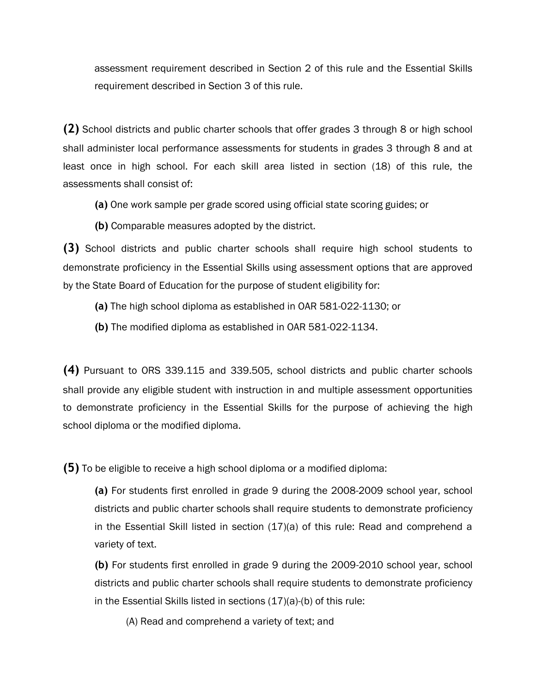assessment requirement described in Section 2 of this rule and the Essential Skills requirement described in Section 3 of this rule.

**(2)** School districts and public charter schools that offer grades 3 through 8 or high school shall administer local performance assessments for students in grades 3 through 8 and at least once in high school. For each skill area listed in section (18) of this rule, the assessments shall consist of:

- **(a)** One work sample per grade scored using official state scoring guides; or
- **(b)** Comparable measures adopted by the district.

**(3)** School districts and public charter schools shall require high school students to demonstrate proficiency in the Essential Skills using assessment options that are approved by the State Board of Education for the purpose of student eligibility for:

- **(a)** The high school diploma as established in OAR 581-022-1130; or
- **(b)** The modified diploma as established in OAR 581-022-1134.

**(4)** Pursuant to ORS 339.115 and 339.505, school districts and public charter schools shall provide any eligible student with instruction in and multiple assessment opportunities to demonstrate proficiency in the Essential Skills for the purpose of achieving the high school diploma or the modified diploma.

**(5)** To be eligible to receive a high school diploma or a modified diploma:

**(a)** For students first enrolled in grade 9 during the 2008-2009 school year, school districts and public charter schools shall require students to demonstrate proficiency in the Essential Skill listed in section (17)(a) of this rule: Read and comprehend a variety of text.

**(b)** For students first enrolled in grade 9 during the 2009-2010 school year, school districts and public charter schools shall require students to demonstrate proficiency in the Essential Skills listed in sections (17)(a)-(b) of this rule:

(A) Read and comprehend a variety of text; and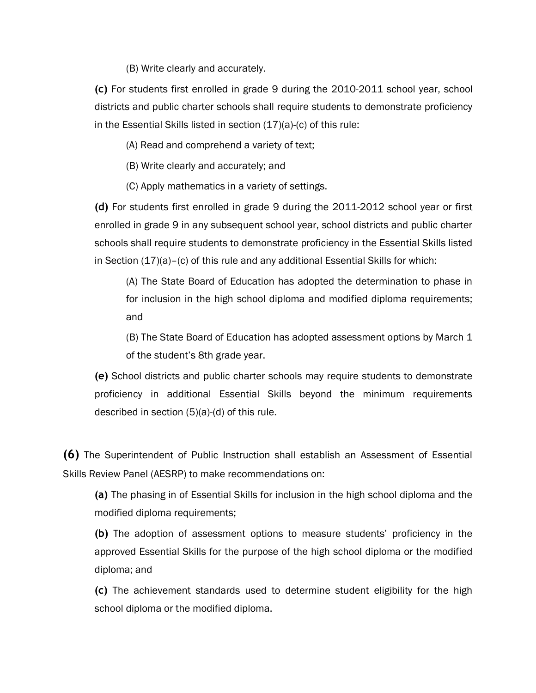(B) Write clearly and accurately.

**(c)** For students first enrolled in grade 9 during the 2010-2011 school year, school districts and public charter schools shall require students to demonstrate proficiency in the Essential Skills listed in section (17)(a)-(c) of this rule:

(A) Read and comprehend a variety of text;

(B) Write clearly and accurately; and

(C) Apply mathematics in a variety of settings.

**(d)** For students first enrolled in grade 9 during the 2011-2012 school year or first enrolled in grade 9 in any subsequent school year, school districts and public charter schools shall require students to demonstrate proficiency in the Essential Skills listed in Section (17)(a)–(c) of this rule and any additional Essential Skills for which:

(A) The State Board of Education has adopted the determination to phase in for inclusion in the high school diploma and modified diploma requirements; and

(B) The State Board of Education has adopted assessment options by March 1 of the student's 8th grade year.

**(e)** School districts and public charter schools may require students to demonstrate proficiency in additional Essential Skills beyond the minimum requirements described in section (5)(a)-(d) of this rule.

**(6)** The Superintendent of Public Instruction shall establish an Assessment of Essential Skills Review Panel (AESRP) to make recommendations on:

**(a)** The phasing in of Essential Skills for inclusion in the high school diploma and the modified diploma requirements;

**(b)** The adoption of assessment options to measure students' proficiency in the approved Essential Skills for the purpose of the high school diploma or the modified diploma; and

**(c)** The achievement standards used to determine student eligibility for the high school diploma or the modified diploma.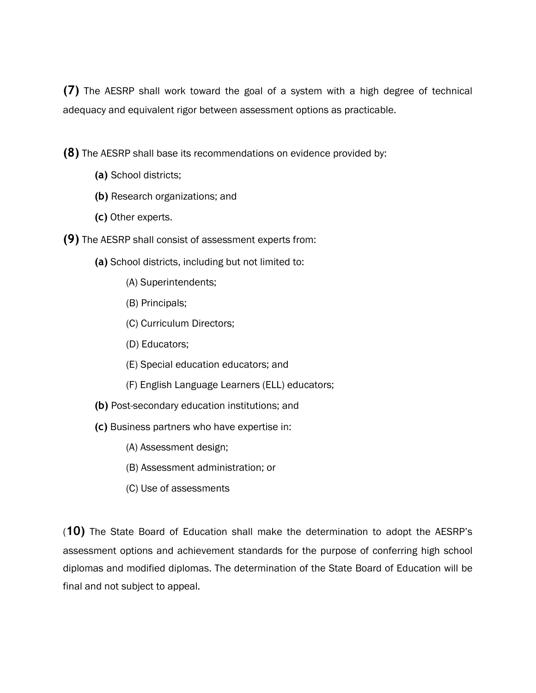**(7)** The AESRP shall work toward the goal of a system with a high degree of technical adequacy and equivalent rigor between assessment options as practicable.

**(8)** The AESRP shall base its recommendations on evidence provided by:

- **(a)** School districts;
- **(b)** Research organizations; and
- **(c)** Other experts.
- **(9)** The AESRP shall consist of assessment experts from:
	- **(a)** School districts, including but not limited to:
		- (A) Superintendents;
		- (B) Principals;
		- (C) Curriculum Directors;
		- (D) Educators;
		- (E) Special education educators; and
		- (F) English Language Learners (ELL) educators;
	- **(b)** Post-secondary education institutions; and
	- **(c)** Business partners who have expertise in:
		- (A) Assessment design;
		- (B) Assessment administration; or
		- (C) Use of assessments

(**10)** The State Board of Education shall make the determination to adopt the AESRP's assessment options and achievement standards for the purpose of conferring high school diplomas and modified diplomas. The determination of the State Board of Education will be final and not subject to appeal.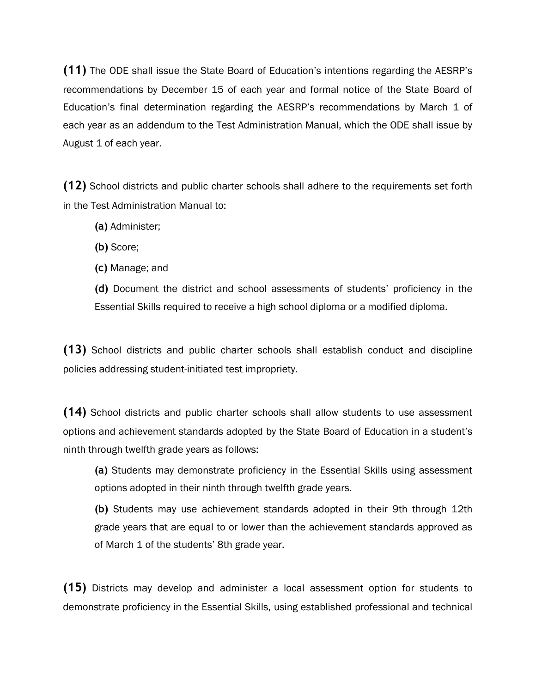**(11)** The ODE shall issue the State Board of Education's intentions regarding the AESRP's recommendations by December 15 of each year and formal notice of the State Board of Education's final determination regarding the AESRP's recommendations by March 1 of each year as an addendum to the Test Administration Manual, which the ODE shall issue by August 1 of each year.

**(12)** School districts and public charter schools shall adhere to the requirements set forth in the Test Administration Manual to:

- **(a)** Administer;
- **(b)** Score;
- **(c)** Manage; and

**(d)** Document the district and school assessments of students' proficiency in the Essential Skills required to receive a high school diploma or a modified diploma.

**(13)** School districts and public charter schools shall establish conduct and discipline policies addressing student-initiated test impropriety.

**(14)** School districts and public charter schools shall allow students to use assessment options and achievement standards adopted by the State Board of Education in a student's ninth through twelfth grade years as follows:

**(a)** Students may demonstrate proficiency in the Essential Skills using assessment options adopted in their ninth through twelfth grade years.

**(b)** Students may use achievement standards adopted in their 9th through 12th grade years that are equal to or lower than the achievement standards approved as of March 1 of the students' 8th grade year.

**(15)** Districts may develop and administer a local assessment option for students to demonstrate proficiency in the Essential Skills, using established professional and technical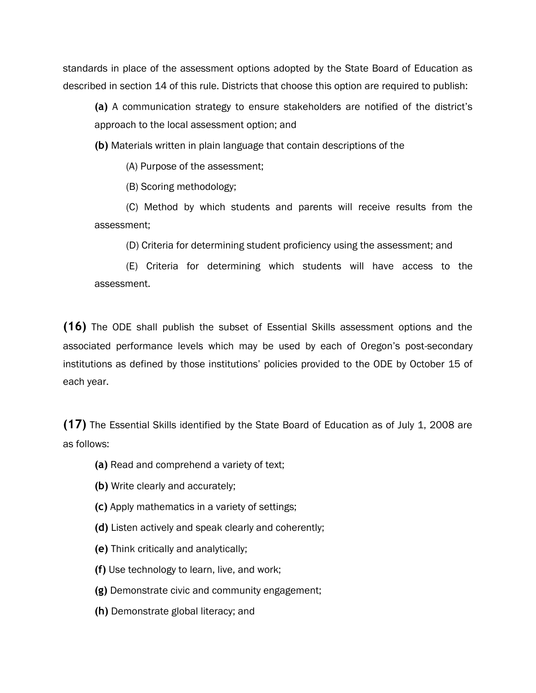standards in place of the assessment options adopted by the State Board of Education as described in section 14 of this rule. Districts that choose this option are required to publish:

**(a)** A communication strategy to ensure stakeholders are notified of the district's approach to the local assessment option; and

**(b)** Materials written in plain language that contain descriptions of the

(A) Purpose of the assessment;

(B) Scoring methodology;

(C) Method by which students and parents will receive results from the assessment;

(D) Criteria for determining student proficiency using the assessment; and

(E) Criteria for determining which students will have access to the assessment.

**(16)** The ODE shall publish the subset of Essential Skills assessment options and the associated performance levels which may be used by each of Oregon's post-secondary institutions as defined by those institutions' policies provided to the ODE by October 15 of each year.

**(17)** The Essential Skills identified by the State Board of Education as of July 1, 2008 are as follows:

- **(a)** Read and comprehend a variety of text;
- **(b)** Write clearly and accurately;
- **(c)** Apply mathematics in a variety of settings;
- **(d)** Listen actively and speak clearly and coherently;
- **(e)** Think critically and analytically;
- **(f)** Use technology to learn, live, and work;
- **(g)** Demonstrate civic and community engagement;
- **(h)** Demonstrate global literacy; and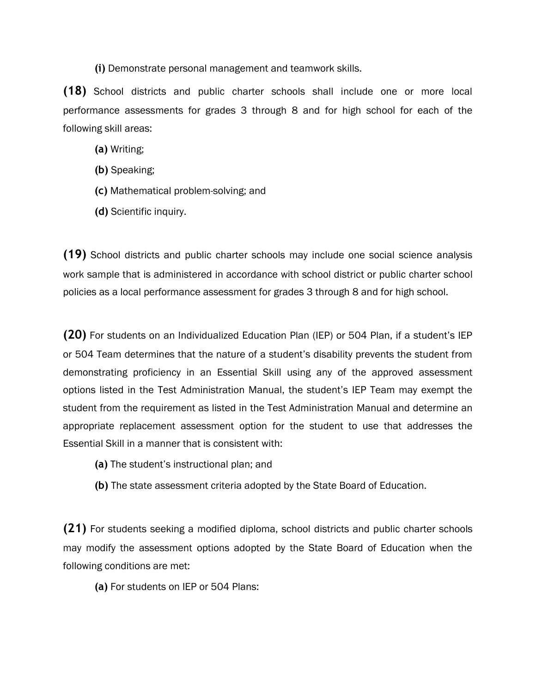**(i)** Demonstrate personal management and teamwork skills.

**(18)** School districts and public charter schools shall include one or more local performance assessments for grades 3 through 8 and for high school for each of the following skill areas:

- **(a)** Writing;
- **(b)** Speaking;
- **(c)** Mathematical problem-solving; and
- **(d)** Scientific inquiry.

**(19)** School districts and public charter schools may include one social science analysis work sample that is administered in accordance with school district or public charter school policies as a local performance assessment for grades 3 through 8 and for high school.

**(20)** For students on an Individualized Education Plan (IEP) or 504 Plan, if a student's IEP or 504 Team determines that the nature of a student's disability prevents the student from demonstrating proficiency in an Essential Skill using any of the approved assessment options listed in the Test Administration Manual, the student's IEP Team may exempt the student from the requirement as listed in the Test Administration Manual and determine an appropriate replacement assessment option for the student to use that addresses the Essential Skill in a manner that is consistent with:

- **(a)** The student's instructional plan; and
- **(b)** The state assessment criteria adopted by the State Board of Education.

**(21)** For students seeking a modified diploma, school districts and public charter schools may modify the assessment options adopted by the State Board of Education when the following conditions are met:

**(a)** For students on IEP or 504 Plans: